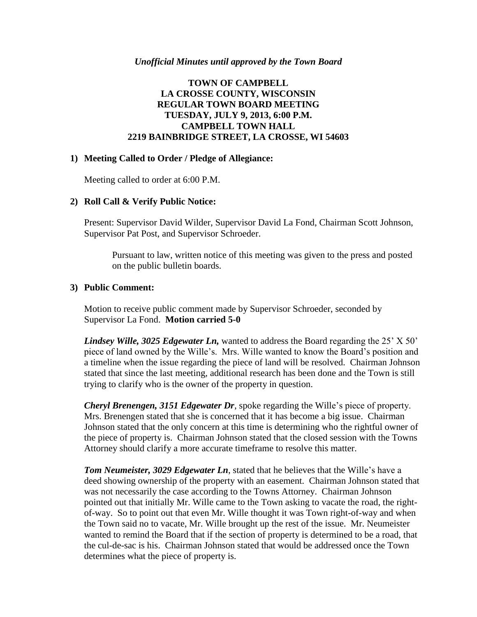## **TOWN OF CAMPBELL LA CROSSE COUNTY, WISCONSIN REGULAR TOWN BOARD MEETING TUESDAY, JULY 9, 2013, 6:00 P.M. CAMPBELL TOWN HALL 2219 BAINBRIDGE STREET, LA CROSSE, WI 54603**

### **1) Meeting Called to Order / Pledge of Allegiance:**

Meeting called to order at 6:00 P.M.

### **2) Roll Call & Verify Public Notice:**

Present: Supervisor David Wilder, Supervisor David La Fond, Chairman Scott Johnson, Supervisor Pat Post, and Supervisor Schroeder.

Pursuant to law, written notice of this meeting was given to the press and posted on the public bulletin boards.

### **3) Public Comment:**

Motion to receive public comment made by Supervisor Schroeder, seconded by Supervisor La Fond. **Motion carried 5-0**

*Lindsey Wille, 3025 Edgewater Ln,* wanted to address the Board regarding the 25' X 50' piece of land owned by the Wille's. Mrs. Wille wanted to know the Board's position and a timeline when the issue regarding the piece of land will be resolved. Chairman Johnson stated that since the last meeting, additional research has been done and the Town is still trying to clarify who is the owner of the property in question.

*Cheryl Brenengen, 3151 Edgewater Dr*, spoke regarding the Wille's piece of property. Mrs. Brenengen stated that she is concerned that it has become a big issue. Chairman Johnson stated that the only concern at this time is determining who the rightful owner of the piece of property is. Chairman Johnson stated that the closed session with the Towns Attorney should clarify a more accurate timeframe to resolve this matter.

*Tom Neumeister, 3029 Edgewater Ln*, stated that he believes that the Wille's have a deed showing ownership of the property with an easement. Chairman Johnson stated that was not necessarily the case according to the Towns Attorney. Chairman Johnson pointed out that initially Mr. Wille came to the Town asking to vacate the road, the rightof-way. So to point out that even Mr. Wille thought it was Town right-of-way and when the Town said no to vacate, Mr. Wille brought up the rest of the issue. Mr. Neumeister wanted to remind the Board that if the section of property is determined to be a road, that the cul-de-sac is his. Chairman Johnson stated that would be addressed once the Town determines what the piece of property is.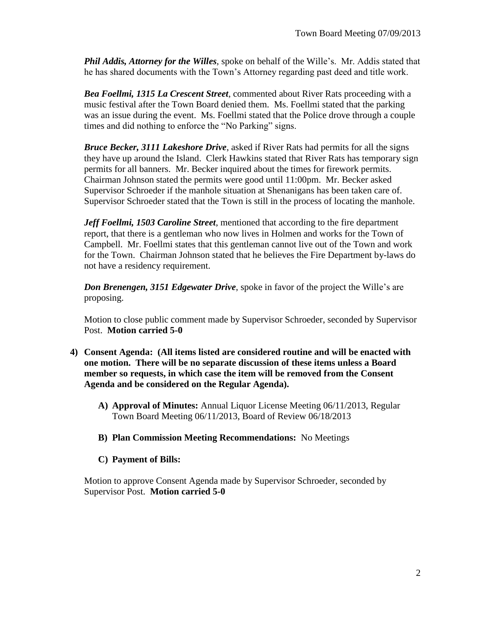*Phil Addis, Attorney for the Willes*, spoke on behalf of the Wille's. Mr. Addis stated that he has shared documents with the Town's Attorney regarding past deed and title work.

*Bea Foellmi, 1315 La Crescent Street*, commented about River Rats proceeding with a music festival after the Town Board denied them. Ms. Foellmi stated that the parking was an issue during the event. Ms. Foellmi stated that the Police drove through a couple times and did nothing to enforce the "No Parking" signs.

*Bruce Becker, 3111 Lakeshore Drive*, asked if River Rats had permits for all the signs they have up around the Island. Clerk Hawkins stated that River Rats has temporary sign permits for all banners. Mr. Becker inquired about the times for firework permits. Chairman Johnson stated the permits were good until 11:00pm. Mr. Becker asked Supervisor Schroeder if the manhole situation at Shenanigans has been taken care of. Supervisor Schroeder stated that the Town is still in the process of locating the manhole.

*Jeff Foellmi, 1503 Caroline Street*, mentioned that according to the fire department report, that there is a gentleman who now lives in Holmen and works for the Town of Campbell. Mr. Foellmi states that this gentleman cannot live out of the Town and work for the Town. Chairman Johnson stated that he believes the Fire Department by-laws do not have a residency requirement.

*Don Brenengen, 3151 Edgewater Drive*, spoke in favor of the project the Wille's are proposing.

Motion to close public comment made by Supervisor Schroeder, seconded by Supervisor Post. **Motion carried 5-0**

- **4) Consent Agenda: (All items listed are considered routine and will be enacted with one motion. There will be no separate discussion of these items unless a Board member so requests, in which case the item will be removed from the Consent Agenda and be considered on the Regular Agenda).**
	- **A) Approval of Minutes:** Annual Liquor License Meeting 06/11/2013, Regular Town Board Meeting 06/11/2013, Board of Review 06/18/2013
	- **B) Plan Commission Meeting Recommendations:** No Meetings
	- **C) Payment of Bills:**

Motion to approve Consent Agenda made by Supervisor Schroeder, seconded by Supervisor Post. **Motion carried 5-0**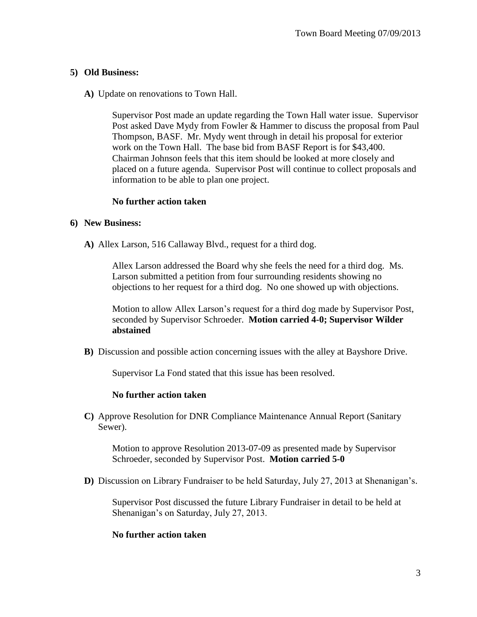## **5) Old Business:**

**A)** Update on renovations to Town Hall.

Supervisor Post made an update regarding the Town Hall water issue. Supervisor Post asked Dave Mydy from Fowler & Hammer to discuss the proposal from Paul Thompson, BASF. Mr. Mydy went through in detail his proposal for exterior work on the Town Hall. The base bid from BASF Report is for \$43,400. Chairman Johnson feels that this item should be looked at more closely and placed on a future agenda. Supervisor Post will continue to collect proposals and information to be able to plan one project.

## **No further action taken**

#### **6) New Business:**

**A)** Allex Larson, 516 Callaway Blvd., request for a third dog.

Allex Larson addressed the Board why she feels the need for a third dog. Ms. Larson submitted a petition from four surrounding residents showing no objections to her request for a third dog. No one showed up with objections.

Motion to allow Allex Larson's request for a third dog made by Supervisor Post, seconded by Supervisor Schroeder. **Motion carried 4-0; Supervisor Wilder abstained**

**B)** Discussion and possible action concerning issues with the alley at Bayshore Drive.

Supervisor La Fond stated that this issue has been resolved.

#### **No further action taken**

**C)** Approve Resolution for DNR Compliance Maintenance Annual Report (Sanitary Sewer).

Motion to approve Resolution 2013-07-09 as presented made by Supervisor Schroeder, seconded by Supervisor Post. **Motion carried 5-0**

**D)** Discussion on Library Fundraiser to be held Saturday, July 27, 2013 at Shenanigan's.

Supervisor Post discussed the future Library Fundraiser in detail to be held at Shenanigan's on Saturday, July 27, 2013.

## **No further action taken**